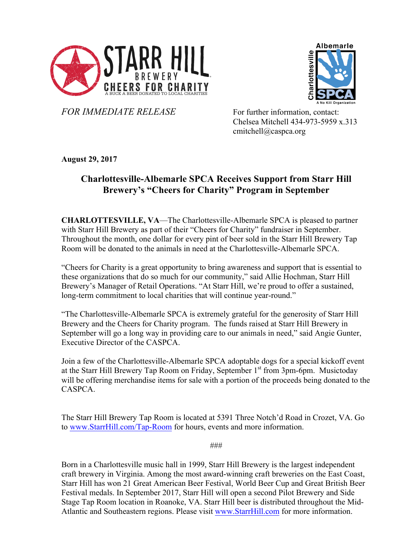



*FOR IMMEDIATE RELEASE* For further information, contact:

Chelsea Mitchell 434-973-5959 x.313 cmitchell@caspca.org

**August 29, 2017**

## **Charlottesville-Albemarle SPCA Receives Support from Starr Hill Brewery's "Cheers for Charity" Program in September**

**CHARLOTTESVILLE, VA**—The Charlottesville-Albemarle SPCA is pleased to partner with Starr Hill Brewery as part of their "Cheers for Charity" fundraiser in September. Throughout the month, one dollar for every pint of beer sold in the Starr Hill Brewery Tap Room will be donated to the animals in need at the Charlottesville-Albemarle SPCA.

"Cheers for Charity is a great opportunity to bring awareness and support that is essential to these organizations that do so much for our community," said Allie Hochman, Starr Hill Brewery's Manager of Retail Operations. "At Starr Hill, we're proud to offer a sustained, long-term commitment to local charities that will continue year-round."

"The Charlottesville-Albemarle SPCA is extremely grateful for the generosity of Starr Hill Brewery and the Cheers for Charity program. The funds raised at Starr Hill Brewery in September will go a long way in providing care to our animals in need," said Angie Gunter, Executive Director of the CASPCA.

Join a few of the Charlottesville-Albemarle SPCA adoptable dogs for a special kickoff event at the Starr Hill Brewery Tap Room on Friday, September 1<sup>st</sup> from 3pm-6pm. Musictoday will be offering merchandise items for sale with a portion of the proceeds being donated to the CASPCA.

The Starr Hill Brewery Tap Room is located at 5391 Three Notch'd Road in Crozet, VA. Go to www.StarrHill.com/Tap-Room for hours, events and more information.

###

Born in a Charlottesville music hall in 1999, Starr Hill Brewery is the largest independent craft brewery in Virginia. Among the most award-winning craft breweries on the East Coast, Starr Hill has won 21 Great American Beer Festival, World Beer Cup and Great British Beer Festival medals. In September 2017, Starr Hill will open a second Pilot Brewery and Side Stage Tap Room location in Roanoke, VA. Starr Hill beer is distributed throughout the Mid-Atlantic and Southeastern regions. Please visit www.StarrHill.com for more information.